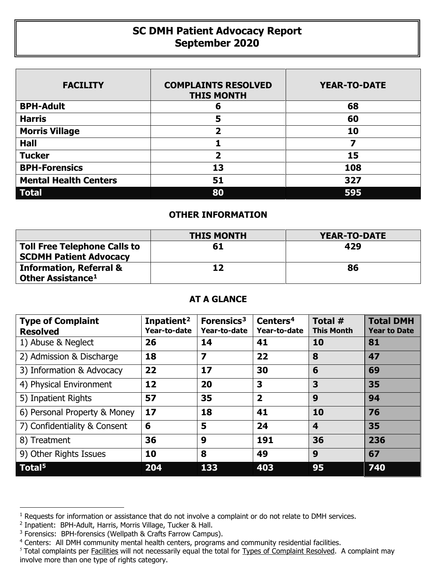## **SC DMH Patient Advocacy Report September 2020**

| <b>FACILITY</b>              | <b>COMPLAINTS RESOLVED</b><br><b>THIS MONTH</b> | <b>YEAR-TO-DATE</b> |  |  |
|------------------------------|-------------------------------------------------|---------------------|--|--|
| <b>BPH-Adult</b>             | 6                                               | 68                  |  |  |
| <b>Harris</b>                | 5                                               | 60                  |  |  |
| <b>Morris Village</b>        | $\overline{\mathbf{2}}$                         | 10                  |  |  |
| <b>Hall</b>                  |                                                 |                     |  |  |
| <b>Tucker</b>                | 2                                               | 15                  |  |  |
| <b>BPH-Forensics</b>         | 13                                              | 108                 |  |  |
| <b>Mental Health Centers</b> | 51                                              | 327                 |  |  |
| <b>Total</b>                 | 80                                              | 595                 |  |  |

## **OTHER INFORMATION**

|                                                                      | <b>THIS MONTH</b> | <b>YEAR-TO-DATE</b> |
|----------------------------------------------------------------------|-------------------|---------------------|
| <b>Toll Free Telephone Calls to</b><br><b>SCDMH Patient Advocacy</b> | 61                | 429                 |
| <b>Information, Referral &amp;</b><br>Other Assistance <sup>1</sup>  | 12                | 86                  |

## **AT A GLANCE**

| <b>Type of Complaint</b><br><b>Resolved</b> | Inpatient <sup>2</sup><br>Year-to-date | Forensics <sup>3</sup><br>Year-to-date | Centers <sup>4</sup><br>Year-to-date | Total $#$<br><b>This Month</b> | <b>Total DMH</b><br><b>Year to Date</b> |
|---------------------------------------------|----------------------------------------|----------------------------------------|--------------------------------------|--------------------------------|-----------------------------------------|
| 1) Abuse & Neglect                          | 26                                     | 14                                     | 41                                   | 10                             | 81                                      |
| 2) Admission & Discharge                    | 18                                     | $\overline{\mathbf{z}}$                | 22                                   | 8                              | 47                                      |
| 3) Information & Advocacy                   | 22                                     | 17                                     | 30                                   | 6                              | 69                                      |
| 4) Physical Environment                     | 12                                     | 20                                     | 3                                    | 3                              | 35                                      |
| 5) Inpatient Rights                         | 57                                     | 35                                     | $\overline{\mathbf{2}}$              | 9                              | 94                                      |
| 6) Personal Property & Money                | 17                                     | 18                                     | 41                                   | 10                             | 76                                      |
| 7) Confidentiality & Consent                | 6                                      | 5                                      | 24                                   | 4                              | 35                                      |
| 8) Treatment                                | 36                                     | 9                                      | 191                                  | 36                             | 236                                     |
| 9) Other Rights Issues                      | 10                                     | 8                                      | 49                                   | 9                              | 67                                      |
| Total <sup>5</sup>                          | 204                                    | 133                                    | 403                                  | 95                             | 740                                     |

 $\overline{a}$ 

<span id="page-0-0"></span><sup>&</sup>lt;sup>1</sup> Requests for information or assistance that do not involve a complaint or do not relate to DMH services.

<span id="page-0-1"></span><sup>2</sup> Inpatient: BPH-Adult, Harris, Morris Village, Tucker & Hall.

<span id="page-0-2"></span><sup>&</sup>lt;sup>3</sup> Forensics: BPH-forensics (Wellpath & Crafts Farrow Campus).

<span id="page-0-3"></span><sup>&</sup>lt;sup>4</sup> Centers: All DMH community mental health centers, programs and community residential facilities.

<span id="page-0-4"></span><sup>&</sup>lt;sup>5</sup> Total complaints per Facilities will not necessarily equal the total for Types of Complaint Resolved. A complaint may involve more than one type of rights category.